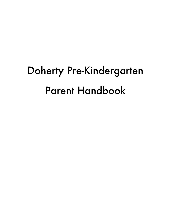# Doherty Pre-Kindergarten Parent Handbook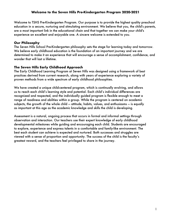#### **Welcome to the Seven Hills Pre-Kindergarten Program 2020-2021**

Welcome to TSHS Pre-Kindergarten Program. Our purpose is to provide the highest quality preschool education in a secure, nurturing and stimulating environment. We believe that you, the child's parents, are a most important link in the educational chain and that together we can make your child's experience an excellent and enjoyable one. A sincere welcome is extended to you.

#### **Our Philosophy**

The Seven Hills School Pre-Kindergarten philosophy sets the stage for learning today and tomorrow. We believe early childhood education is the foundation of an important journey and we are determined to make it an experience that will encourage a sense of accomplishment, confidence, and wonder that will last a lifetime.

## **The Seven Hills Early Childhood Approach**

The Early Childhood Learning Program at Seven Hills was designed using a framework of best practices derived from current research, along with years of experience exploring a variety of proven methods from a wide spectrum of early childhood philosophies.

We have created a unique child-centered program, which is continually evolving, and allows us to reach each child's learning style and potential. Each child's individual differences are recognized and respected, and the individually guided program is flexible enough to meet a range of readiness and abilities within a group. While the program is centered on academic subjects, the growth of the whole child — attitude, habits, values, and enthusiasms — is equally as important at this age as the academic knowledge and skills the child is developing.

Assessment is a natural, ongoing process that occurs in formal and informal settings through observation and interaction. Our teachers use their expert knowledge of early childhood developmental milestones while guiding and encouraging each child. Students are encouraged to explore, experience and express talents in a comfortable and family-like environment. The best each student can achieve is expected and nurtured. Both successes and struggles are viewed with a sense of proportion and opportunity. The success of the child is the faculty's greatest reward, and the teachers feel privileged to share in the journey.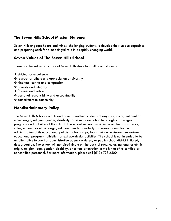# **The Seven Hills School Mission Statement**

Seven Hills engages hearts and minds, challenging students to develop their unique capacities and preparing each for a meaningful role in a rapidly changing world.

# **Seven Values of The Seven Hills School**

These are the values which we at Seven Hills strive to instill in our students:

- ✤ striving for excellence
- ✤ respect for others and appreciation of diversity
- ✤ kindness, caring and compassion
- ✤ honesty and integrity
- ✤ fairness and justice
- ✤ personal responsibility and accountability
- ✤ commitment to community

# **Nondiscriminatory Policy**

The Seven Hills School recruits and admits qualified students of any race, color, national or ethnic origin, religion, gender, disability, or sexual orientation to all rights, privileges, programs and activities of the school. The school will not discriminate on the basis of race, color, national or ethnic origin, religion, gender, disability, or sexual orientation in administration of its educational policies, scholarships, loans, tuition remission, fee waivers, educational programs, athletics, or extracurricular activities. The school is not intended to be an alternative to court or administrative agency ordered, or public school district initiated, desegregation. The school will not discriminate on the basis of race, color, national or ethnic origin, religion, age, gender, disability, or sexual orientation in the hiring of its certified or noncertified personnel. For more information, please call (513) 728-2400.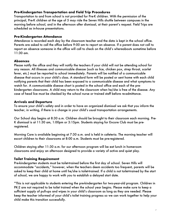## **Pre-Kindergarten Transportation and Field Trip Procedures**

Transportation to and from school is not provided for Pre-K children. With the permission of the principal, Pre-K children at the age of 5 may ride the Seven Hills shuttle between campuses in the morning before school, and in the afternoon after dismissal, at their parent's request. Field Trips are scheduled as in-house presentations.

#### **Pre-Kindergarten Attendance**

Attendance is recorded each day by the classroom teacher and the data is kept in the school office. Parents are asked to call the office before 9:00 am to report an absence. If a parent does not call to report an absence someone in the office will call to check on the child's whereabouts sometime before 11:30 am.

#### **Absences**

Please notify the office and they will notify the teachers if your child will not be attending school for any reason. All illnesses and communicable disease (such as lice, chicken pox, strep throat, scarlet fever, etc.) must be reported to school immediately. Parents will be notified of a communicable disease that occurs in your child's class. A standard form will be posted or sent home with each child notifying parents that their child has been exposed to a communicable disease and what symptoms to watch for. A communicable disease chart is posted in the school office and each of the prekindergarten classrooms. A child may return to the classroom when he/she is free of the disease. Any case of head lice must be checked by the school nurse or trained staff before re-admittance.

#### **Arrivals and Departure**

To ensure your child's safety and in order to have an organized dismissal we ask that you inform the teacher, in writing, if there is a change in your child's usual transportation arrangements.

Our School day begins at 8:30 a.m. Children should be brought to their classroom each morning. Pre-K dismissal is at 11:30 am, 1:00pm or 3:15pm. Students staying for Encore Club must be preregistered.

Morning Care is available beginning at 7:30 a.m. and is held in cafeteria. The morning teacher will escort children to their classrooms at 8:00 a.m. Students must be pre-registered.

Children staying after 11:30 a.m. for our afternoon program will be eat lunch in homeroom classrooms and enjoy an afternoon designed to provide a variety of active and quiet play.

#### **Toilet Training Requirement**

Pre-kindergarten students must be toilet-trained before the first day of school. Seven Hills will accommodate "accidents," however, when the teachers deem accidents too frequent, parents will be asked to keep their child at home until he/she is toilet-trained. If a child is not toilet-trained by the start of school, we are happy to work with you to establish a delayed start date.

\*This is not applicable to students entering the pre-kindergarten for two-year-old program. Children in PK-2 are not required to be toilet trained when the school year begins. Please make sure to keep a sufficient supply of pull-ups and wipes in your child's classroom as long as they are needed. Please keep the teacher informed of your child's toilet training progress so we can work together to help your child make this transition successfully.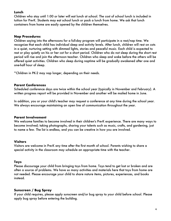#### **Lunch**

Children who stay until 1:00 or later will eat lunch at school. The cost of school lunch is included in tuition for Pre-K. Students may eat school lunch or pack a lunch from home. We ask that lunch containers from home are easily opened by the children themselves.

#### **Nap Procedures**

Children saying into the afternoons for a full-day program will participate in a rest/nap time. We recognize that each child has individual sleep and activity levels. After lunch, children will rest on cots in a quiet, nurturing setting with dimmed lights, stories and peaceful music. Each child is expected to rest or play quietly on his or her cot for a short period. Children who do not sleep during the short rest period will rise and join the afternoon teacher. Children who sleep and wake before the others will be offered quiet activities. Children who sleep during naptime will be gradually awakened after one and one-half hour of sleep.

\*Children in PK-2 may nap longer, depending on their needs.

## **Parent Conferences**

Scheduled conference days are twice within the school year (typically in November and February). A written progress report will be provided in November and another will be mailed home in June.

In addition, you or your child's teacher may request a conference at any time during the school year. We always encourage maintaining an open line of communication throughout the year.

#### **Parent Involvement**

We welcome families to become involved in their children's Pre-K experience. There are many ways to become involved; taking photographs, sharing your talents such as music, crafts, and gardening, just to name a few. The list is endless, and you can be creative in how you are involved.

## **Visitors**

Visitors are welcome in Pre-K any time after the first month of school. Parents wishing to share a special activity in the classroom may schedule an appropriate time with the teacher.

#### **Toys**

Please discourage your child from bringing toys from home. Toys tend to get lost or broken and are often a source of problems. We have so many activities and materials here that toys from home are not needed. Please encourage your child to share nature items, pictures, experiences, and books instead.

## **Sunscreen / Bug Spray**

If your child requires, please apply sunscreen and/or bug spray to your child before school. Please apply bug spray before entering the building.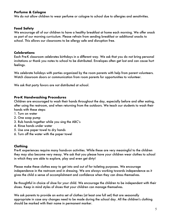## **Perfume & Cologne**

We do not allow children to wear perfume or cologne to school due to allergies and sensitivities.

#### **Food Safety**

We encourage all of our children to have a healthy breakfast at home each morning. We offer snack as part of our morning curriculum. Please refrain from sending breakfast or additional snacks to school. This allows our classrooms to be allergy safe and disruption free.

#### **Celebrations**

Each Pre-K classroom celebrates birthdays in a different way. We ask that you do not bring personal invitations *or* thank you notes to school to be distributed. Envelopes often get lost and can cause hurt feelings.

We celebrate holidays with parties organized by the room parents with help from parent volunteers. Watch classroom doors or communication from room parents for opportunities to volunteer.

We ask that party favors are not distributed at school.

#### **Pre-K Handwashing Procedures**

Children are encouraged to wash their hands throughout the day, especially before and after eating, after using the restroom, and when returning from the outdoors. We teach our students to wash their hands with these steps:

- 1. Turn on water
- 2. One soap pump
- 3. Rub hands together while you sing the ABC's
- 4. Rinse hands under water
- 5. Use one paper towel to dry hands
- 6. Turn off the water with the paper towel

## **Clothing**

Pre-K experiences require many hands-on activities. While these are very meaningful to the children they may also become very messy. We ask that you please have your children wear clothes to school in which they are able to explore, play and even get dirty!

Please make these clothes easy to get into and out of for toileting purposes. We encourage independence in the restroom and in dressing. We are always working towards independence as it gives the child a sense of accomplishment and confidence when they can dress themselves.

Be thoughtful in choice of shoe for your child. We encourage the children to be independent with their shoes. Keep in mind styles of shoes that your children can manage themselves.

We ask parents to provide an extra set of clothes (at least one full set) that are seasonally appropriate in case any changes need to be made during the school day. All the children's clothing should be marked with their name in permanent marker.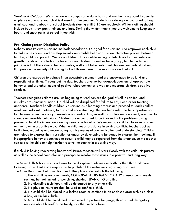*Weather & Outdoors:* We travel around campus on a daily basis and use the playground frequently so please make sure your child is dressed for the weather. Students are strongly encouraged to keep a raincoat and rainboots at school (students staying until 3:15 are required). Winter clothing should include boots, snow-pants, mittens and hats. During the winter months you are welcome to keep snow boots, and snow pants at school if you wish.

#### **Pre-Kindergarten Discipline Policy**

Doherty uses Positive Discipline methods school-wide. Our goal for discipline is to empower each child to make wise choices and develop socially acceptable behavior. It is an interactive process between teacher, child and parent. We allow children choices while setting realistic limits for their safety and growth. Limits and controls vary for individual children as well as for a group, but the underlying principle is that there should be reasonable, well established rules that children can understand and that provide the security of knowing that adults are there to be supportive and helpful.

Children are expected to behave in an acceptable manner, and are encouraged to be kind and respectful at all times. Throughout the day, teachers give verbal acknowledgement of appropriate behavior and use other means of positive reinforcement as a way to encourage children's positive conduct.

Teachers recognize children are just beginning to work toward the goal of self- discipline, and mistakes are sometimes made. No child will be disciplined for failure to eat, sleep or for toileting accidents. Teachers handle children's discipline as a learning process and proceed to teach conflict resolution skills with patience, fairness and understanding. The teacher's role is to be supportive and to intervene when necessary. Prevention and redirection, as well as positive reinforcement, are used to change undesirable behaviors. Children are encouraged to be involved in the problem- solving process to build the inner-monitoring systems of self-control. We encourage children to solve problems on their own in a positive way. When a child needs assistance in solving conflicts, teachers act as facilitators, modeling and encouraging positive means of communication and understanding. Children are helped to express their frustration or anger by developing a language to express their feelings. If inappropriate behaviors continue to occur, a child may be separated from the situation, so the teacher can talk to the child to help him/her resolve the conflict in a positive way.

If a child is having reoccurring behavioral issues, teachers will work closely with the child, his parents as well as the school counselor and principal to resolve these issues in a positive, nurturing way.

The Seven Hills School strictly adheres to the discipline guidelines set forth by the Ohio Childcare Licensing Code. That Code requires us to publish all the restrictions regarding discipline. The Ohio Department of Education Pre K Discipline code restricts the following:

1. There shall be no cruel, harsh, CORPORAL PUNISHMENT OR ANY unusual punishments such as, but not limited to, punching, shaking, SPANKING or biting.

2. No discipline technique shall be delegated to any other child.

3. No physical restraints shall be used to confine a child.

4. No child shall be placed in a locked room or confined in an enclosed area such as a closet, a box, or similar cubicle.

5. No child shall be humiliated or subjected to profane language, threats, and derogatory remarks about himself or his family, or other verbal abuse.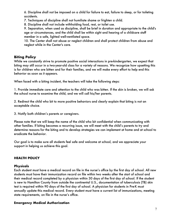6. Discipline shall not be imposed on a child for failure to eat, failure to sleep, or for toileting accidents.

7. Techniques of discipline shall not humiliate shame or frighten a child.

8. Discipline shall not include withholding food, rest, or toilet use.

9. Separation, when used as discipline, shall be brief in duration and appropriate to the child's age or circumstances, and the child shall be within sight and hearing of a childcare staff member in a safe, lighted well-ventilated space.

10. The Center shall not abuse or neglect children and shall protect children from abuse and neglect while in the Center's care.

# **Biting Policy**

While we constantly strive to promote positive social interactions in pre-kindergarten, we expect that biting may still occur in a two-year-old class for a variety of reasons. We recognize how upsetting this is for children who are bitten and for their families, and we will make every effort to help end this behavior as soon as it appears.

When faced with a biting incident, the teachers will take the following steps:

1. Provide immediate care and attention to the child who was bitten. If the skin is broken, we will ask the school nurse to examine the child, and we will call his/her parents.

2. Redirect the child who bit to more positive behaviors and clearly explain that biting is not an acceptable choice.

3. Notify both children's parents or caregivers.

Please note that we will keep the name of the child who bit confidential when communicating with other families. If biting becomes a recurring issue, we will meet with the child's parents to try and determine reasons for the biting and to develop strategies we can implement at home and at school to eradicate the behavior.

Our goal is to make sure all students feel safe and welcome at school, and we appreciate your support in helping us achieve this goal.

# **HEALTH POLICY**

## **Physicals**

Each student must have a medical recordon file in the nurse's office by the first day of school. All new students must have their immunization record on file within two weeks after the start of school and their medical record completed by a physician within 30 days of the first day of school. If the student is new to Hamilton County from outside the continental U.S., documentation of tuberculosis (TB) skin test is required within 90 days of the first day of school. A physician for students in Pre-K must annually update this medical record. Every student must have a current list of immunizations, meeting state requirements, on file in the nurse's office.

## **Emergency Medical Authorization**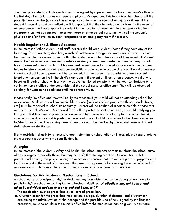The Emergency Medical Authorization must be signed by a parent and on file in the nurse's office by the first day of school. It does not require a physician's signature. This form gives the school staff the parent(s) work number(s) as well as emergency contacts in the event of an injury or illness. If the student is receiving routine medications it is important that they be noted on this form. In the event of an emergency it will accompany the student to the hospital for treatment. In emergency situations, if the parents cannot be reached, the school nurse or other school personnel will call the student's physician and/or have the student transported to an emergency room if necessary.

## **Health Regulations & Illness Absences**

In the interest of other students and staff, parents should keep students home if they have any of the following: fever, vomiting, diarrhea, a rash of undetermined origin, or symptoms of a cold such as frequent coughing or nasal drainage that the student is unable to take care of him/herself. *A student should be free from fever, vomiting and/or diarrhea, without the assistance of medication, for 24 hours before returning to school.* Children must remain home for at least 24 hours after medication begins for strep throat, scarlet fever, conjunctivitis or other communicable diseases. If a child becomes ill during school hours a parent will be contacted. It is the parent's responsibility to have current telephone numbers on file in the child's classroom in the event of illness or emergency. A child who becomes ill during school with any of the above mentioned symptoms will be kept comfortable on a cot in the nurse's office under supervision of the school nurse or office staff. They will be observed carefully for worsening conditions until the parent arrives.

Please notify the office and they will notify the teachers if your child will not be attending school for any reason. All illnesses and communicable disease (such as chicken pox, strep throat, scarlet fever, etc.) must be reported to school immediately. Parents will be notified of a communicable disease that occurs in your child's class. A standard form will be posted or sent home with your child notifying you that your child has been exposed to a communicable disease and what symptoms to watch for. A communicable disease chart is posted in the school office. A child may return to the classroom when he/she is free of the disease. Any case of head lice must be checked by the school nurse or trained staff before re-admittance.

If any restriction of activity is necessary upon returning to school after an illness, please send a note to the classroom teacher with the specific details.

## **Allergies**

In the interest of the student's safety and health, the school expects parents to inform the school nurse of any allergies, especially those that may have life-threatening reactions. Consultation with the parents and possibly the physician may be necessary to ensure that a plan is in place to properly care for the student in the event of a reaction. The parent is responsible for keeping the nurse informed of any reactions or changes in the student's medications or plan of care for a reaction.

## **Guidelines For Administering Medications In School**

A school nurse or principal or his/her designee may administer medication during school hours to pupils in his/her school according to the following guidelines. *Medications may not be kept and taken by individual students except as outlined below in #7.* 

- 1 The medication must be prescribed by a licensed prescriber.
- a. A written order for the prescribed medication, dosage, duration of dosage, and a statement explaining the administration of the dosage and the possible side effects, signed by the licensed prescriber, must be on file in the nurse's office before the medication can be given. A new form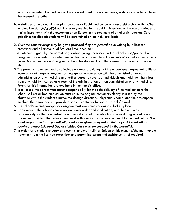must be completed if a medication dosage is adjusted. In an emergency, orders may be faxed from the licensed prescriber.

- b. A staff person may administer pills, capsules or liquid medication or may assist a child with his/her inhaler. The staff *MAY NOT* administer any medications requiring injections or the use of syringes or similar instruments with the exception of an Epipen in the treatment of an allergic reaction. Care guidelines for diabetic students will be determined on an individual basis.
- 2. *Over-the counter drugs may be given provided they are prescribed in* writing by a licensed prescriber and all above qualifications have been met.

 A statement signed by the parent or guardian giving permission to the school nurse/principal or designee to administer prescribed medication must be on file in the *nurse's office* before medicine is given. Medication *will not* be given without this statement and the licensed prescriber's order on file.

- 3 The parent's statement must also include a clause providing that the undersigned agree not to file or make any claim against anyone for negligence in connection with the administration or nonadministration of any medicine and further agree to save such individuals and hold them harmless from any liability incurred as a result of the administration or non-administration of any medicine. Forms for this information are available in the nurse's office.
- 4 In all cases, the parent must assume responsibility for the safe delivery of the medication to the school. All prescribed medication must be in the original containers clearly marked by the pharmacist with the student's name, the dosage directions, physician's name, and the prescription number. The pharmacy will provide a second container for use at school if asked.
- 5 The school's nurse/principal or designee must keep medications in a locked place.
- 6 Upon receipt, the school's nurse reviews each order and medication, and then assumes responsibility for the administration and monitoring of all medications given during school hours. The nurse provides other school personnel with specific instructions pertinent to the medication. *She is not responsible for any medications taken or given on overnight field trips. All medications required during Extended Day or Holiday Care must be supplied by the parent(s).*
- 7 In order for a student to carry and use his inhaler, insulin or Epipen on his own, he/she must have a statement from the licensed prescriber and parent indicating that assistance is not required.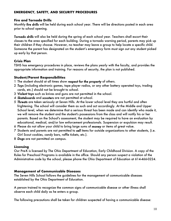## **EMERGENCY, SAFETY, AND SECURITY PROCEDURES**

#### **Fire and Tornado Drills**

Monthly *fire drills* will be held during each school year. There will be directions posted in each area prior to school opening.

*Tornado drills* will also be held during the spring of each school year. Teachers shall escort their classes to the area specified for each building. During a tornado warning period, parents may pick up their children if they choose. However, no teacher may leave a group to help locate a specific child. Someone the parent has designated on the student's emergency form must sign out any student picked up early by that person.

## **Crisis Plan**

TSHS has emergency procedures in place, reviews the plans yearly with the faculty, and provides the appropriate information and training. For reasons of security, the plan is not published.

## **Student/Parent Responsibilities**

- 1 The student should at all times show *respect for the property* of others.
- 2 *Toys* (including electronic games, tape player radios, or any other battery operated toys, trading cards, etc.) should not be brought to school.
- 3 *Violent toys* such as knives and guns are not permitted in the school.
- 4 *Skateboards* and *scooters* are not permitted at school.
- 5 *Threats* are taken seriously at Seven Hills. At the lower school level they are hurtful and often frightening. The school will consider them as such and act accordingly. At the Middle and Upper School level, when we determine that a serious threat has been made and can identify who made it, we will remove the student and the student's possessions from the class and will notify his or her parents. Based on the School's assessment, the student may be required to have an evaluation by educational, medical, and/or law enforcement professionals. Suspension or expulsion may result.
- 6 Please do not allow your child to bring large sums of *money* or items of great value.
- 7 Students and parents are not permitted to *sell* items for outside organizations to other students, (i.e. Girl Scout cookies, candy bars, raffle tickets, etc.).
- 8 *Dogs* are not permitted on campus.

# **Licensing**

Our Pre-K is licensed by The Ohio Department of Education, Early Childhood Division. A copy of the Rules for Preschool Programs is available in the office. Should any person suspect a violation of the Administrative code by the school, please phone the Ohio Department of Education at 614-466-0224.

## **Management of Communicable Diseases**

The Seven Hills School follows the guidelines for the management of communicable diseases established by the Ohio Department of Education.

A person trained to recognize the common signs of communicable disease or other illness shall observe each child daily as he enters a group.

The following precautions shall be taken for children suspected of having a communicable disease: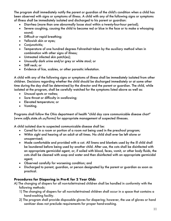The program shall immediately notify the parent or guardian of the child's condition when a child has been observed with signs or symptoms of illness. A child with any of the following signs or symptoms of illness shall be immediately isolated and discharged to his parent or guardian:

- Diarrhea (more than one abnormally loose stool within a twenty-four-hour period);
- Severe coughing, causing the child to become red or blue in the face or to make a whooping sound;
- Difficult or rapid breathing;
- Yellowish skin or eyes;
- Conjunctivitis;
- Temperature of one hundred degrees Fahrenheit taken by the auxiliary method when in combination with other signs of illness;
- Untreated infected skin patch(es);
- Unusually dark urine and/or grey or white stool; or
- Stiff neck; or
- Evidence of lice, scabies, or other parasitic infestation.

A child with any of the following signs or symptoms of illness shall be immediately isolated from other children. Decisions regarding whether the child should be discharged immediately or at some other time during the day shall be determined by the director and the parent or guardian. The child, while isolated at the program, shall be carefully watched for the symptoms listed above as well as:

- Unusual spots or rashes;
- Sore throat or difficulty in swallowing;
- Elevated temperature; or
- Vomiting.

Programs shall follow the Ohio department of health "child day care communicable disease chart" (www.odjfs.state.oh.us/forms) for appropriate management of suspected illnesses.

A child isolated due to suspected communicable disease shall be:

- Cared for in a room or portion of a room not being used in the preschool program;
- Within sight and hearing of an adult at all times. No child shall ever be left alone or unsupervised;
- Made comfortable and provided with a cot. All linens and blankets used by the ill child shall be laundered before being used by another child. After use, the cots shall be disinfected with an appropriate germicidal agent, or, if soiled with blood, feces, vomit, or other body fluids, the cots shall be cleaned with soap and water and then disinfected with an appropriate germicidal agent;
- Observed carefully for worsening condition; and
- Discharged to parent, guardian, or person designated by the parent or guardian as soon as practical.

# **Procedures for Diapering in Pre-K for 2 Year Olds**

- A) The changing of diapers for all non-toilet-trained children shall be handled in conformity with the following methods:
	- 1) The changing of diapers for all non-toilet-trained children shall occur in a space that contains a hand-washing facility.
	- 2) The program shall provide disposable gloves for diapering; however, the use of gloves or hand sanitizer does not preclude requirements for proper hand-washing.